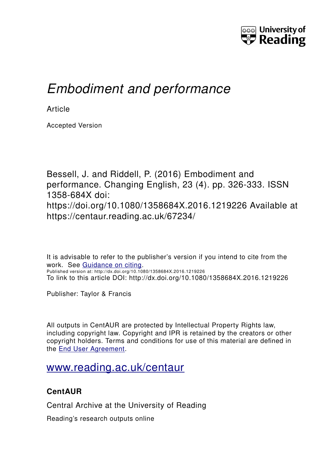

# *Embodiment and performance*

**Article** 

Accepted Version

Bessell, J. and Riddell, P. (2016) Embodiment and performance. Changing English, 23 (4). pp. 326-333. ISSN 1358-684X doi: https://doi.org/10.1080/1358684X.2016.1219226 Available at https://centaur.reading.ac.uk/67234/

It is advisable to refer to the publisher's version if you intend to cite from the work. See [Guidance on citing.](http://centaur.reading.ac.uk/71187/10/CentAUR%20citing%20guide.pdf) Published version at: http://dx.doi.org/10.1080/1358684X.2016.1219226 To link to this article DOI: http://dx.doi.org/10.1080/1358684X.2016.1219226

Publisher: Taylor & Francis

All outputs in CentAUR are protected by Intellectual Property Rights law, including copyright law. Copyright and IPR is retained by the creators or other copyright holders. Terms and conditions for use of this material are defined in the [End User Agreement.](http://centaur.reading.ac.uk/licence)

# [www.reading.ac.uk/centaur](http://www.reading.ac.uk/centaur)

## **CentAUR**

Central Archive at the University of Reading

Reading's research outputs online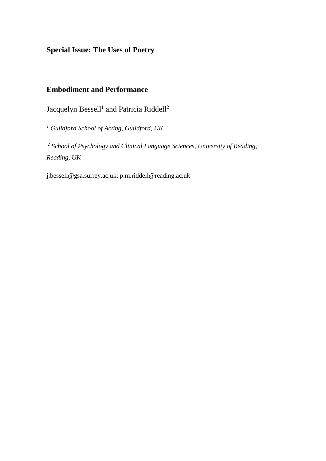**Special Issue: The Uses of Poetry**

### **Embodiment and Performance**

Jacquelyn Bessell<sup>1</sup> and Patricia Riddell<sup>2</sup>

*<sup>1</sup> Guildford School of Acting, Guildford, UK*

*2 School of Psychology and Clinical Language Sciences, University of Reading, Reading, UK*

j.bessell@gsa.surrey.ac.uk; p.m.riddell@reading.ac.uk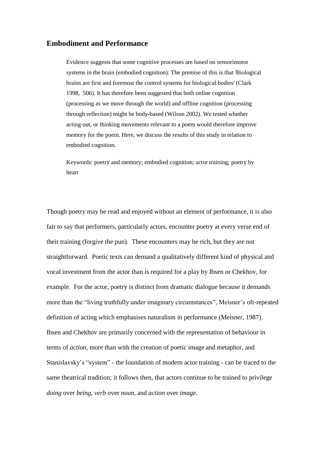#### **Embodiment and Performance**

Evidence suggests that some cognitive processes are based on sensorimotor systems in the brain (embodied cognition). The premise of this is that 'Biological brains are first and foremost the control systems for biological bodies' (Clark 1998, 506). It has therefore been suggested that both online cognition (processing as we move through the world) and offline cognition (processing through reflection) might be body-based (Wilson 2002). We tested whether acting out, or thinking movements relevant to a poem would therefore improve memory for the poem. Here, we discuss the results of this study in relation to embodied cognition.

Keywords: poetry and memory; embodied cognition; actor training; poetry by heart

Though poetry may be read and enjoyed without an element of performance, it is also fair to say that performers, particularly actors, encounter poetry at every verse end of their training (forgive the pun). These encounters may be rich, but they are not straightforward. Poetic texts can demand a qualitatively different kind of physical and vocal investment from the actor than is required for a play by Ibsen or Chekhov, for example. For the actor, poetry is distinct from dramatic dialogue because it demands more than the "living truthfully under imaginary circumstances", Meisner's oft-repeated definition of acting which emphasises naturalism in performance (Meisner, 1987). Ibsen and Chekhov are primarily concerned with the representation of behaviour in terms of *action,* more than with the creation of poetic image and metaphor, and Stanislavsky's "system" - the foundation of modern actor training - can be traced to the same theatrical tradition; it follows then, that actors continue to be trained to privilege *doing* over *being*, *verb* over *noun*, and *action* over *image*.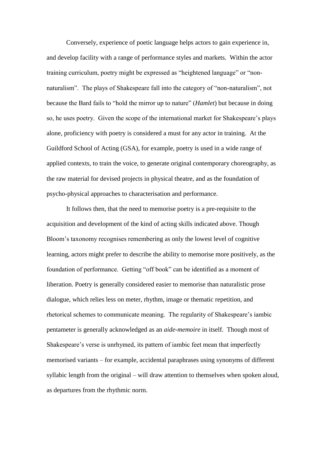Conversely, experience of poetic language helps actors to gain experience in, and develop facility with a range of performance styles and markets. Within the actor training curriculum, poetry might be expressed as "heightened language" or "nonnaturalism". The plays of Shakespeare fall into the category of "non-naturalism", not because the Bard fails to "hold the mirror up to nature" (*Hamlet*) but because in doing so, he uses poetry. Given the scope of the international market for Shakespeare's plays alone, proficiency with poetry is considered a must for any actor in training. At the Guildford School of Acting (GSA), for example, poetry is used in a wide range of applied contexts, to train the voice, to generate original contemporary choreography, as the raw material for devised projects in physical theatre, and as the foundation of psycho-physical approaches to characterisation and performance.

It follows then, that the need to memorise poetry is a pre-requisite to the acquisition and development of the kind of acting skills indicated above. Though Bloom's taxonomy recognises remembering as only the lowest level of cognitive learning, actors might prefer to describe the ability to memorise more positively, as the foundation of performance. Getting "off book" can be identified as a moment of liberation. Poetry is generally considered easier to memorise than naturalistic prose dialogue, which relies less on meter, rhythm, image or thematic repetition, and rhetorical schemes to communicate meaning. The regularity of Shakespeare's iambic pentameter is generally acknowledged as an *aide-memoire* in itself. Though most of Shakespeare's verse is unrhymed, its pattern of iambic feet mean that imperfectly memorised variants – for example, accidental paraphrases using synonyms of different syllabic length from the original – will draw attention to themselves when spoken aloud, as departures from the rhythmic norm.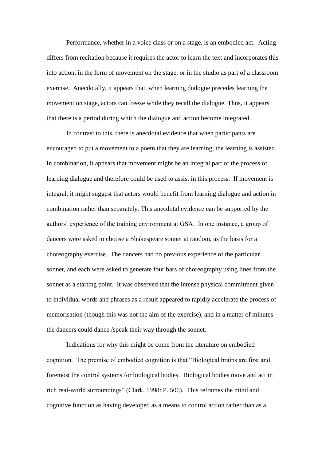Performance, whether in a voice class or on a stage, is an embodied act. Acting differs from recitation because it requires the actor to learn the text and incorporates this into action, in the form of movement on the stage, or in the studio as part of a classroom exercise. Anecdotally, it appears that, when learning dialogue precedes learning the movement on stage, actors can freeze while they recall the dialogue. Thus, it appears that there is a period during which the dialogue and action become integrated.

In contrast to this, there is anecdotal evidence that when participants are encouraged to put a movement to a poem that they are learning, the learning is assisted. In combination, it appears that movement might be an integral part of the process of learning dialogue and therefore could be used to assist in this process. If movement is integral, it might suggest that actors would benefit from learning dialogue and action in combination rather than separately. This anecdotal evidence can be supported by the authors' experience of the training environment at GSA. In one instance, a group of dancers were asked to choose a Shakespeare sonnet at random, as the basis for a choreography exercise. The dancers had no previous experience of the particular sonnet, and each were asked to generate four bars of choreography using lines from the sonnet as a starting point. It was observed that the intense physical commitment given to individual words and phrases as a result appeared to rapidly accelerate the process of memorisation (though this was not the aim of the exercise), and in a matter of minutes the dancers could dance /speak their way through the sonnet.

Indications for why this might be come from the literature on embodied cognition. The premise of embodied cognition is that "Biological brains are first and foremost the control systems for biological bodies. Biological bodies move and act in rich real-world surroundings" (Clark, 1998: P. 506). This reframes the mind and cognitive function as having developed as a means to control action rather than as a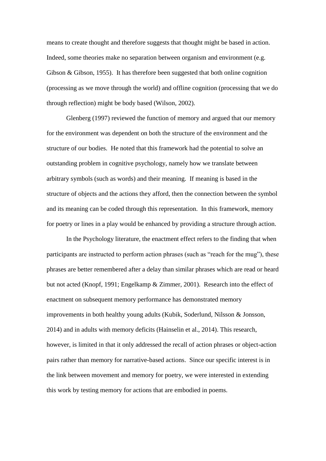means to create thought and therefore suggests that thought might be based in action. Indeed, some theories make no separation between organism and environment (e.g. Gibson & Gibson, 1955). It has therefore been suggested that both online cognition (processing as we move through the world) and offline cognition (processing that we do through reflection) might be body based (Wilson, 2002).

Glenberg (1997) reviewed the function of memory and argued that our memory for the environment was dependent on both the structure of the environment and the structure of our bodies. He noted that this framework had the potential to solve an outstanding problem in cognitive psychology, namely how we translate between arbitrary symbols (such as words) and their meaning. If meaning is based in the structure of objects and the actions they afford, then the connection between the symbol and its meaning can be coded through this representation. In this framework, memory for poetry or lines in a play would be enhanced by providing a structure through action.

In the Psychology literature, the enactment effect refers to the finding that when participants are instructed to perform action phrases (such as "reach for the mug"), these phrases are better remembered after a delay than similar phrases which are read or heard but not acted (Knopf, 1991; Engelkamp & Zimmer, 2001). Research into the effect of enactment on subsequent memory performance has demonstrated memory improvements in both healthy young adults (Kubik, Soderlund, Nilsson & Jonsson, 2014) and in adults with memory deficits (Hainselin et al., 2014). This research, however, is limited in that it only addressed the recall of action phrases or object-action pairs rather than memory for narrative-based actions. Since our specific interest is in the link between movement and memory for poetry, we were interested in extending this work by testing memory for actions that are embodied in poems.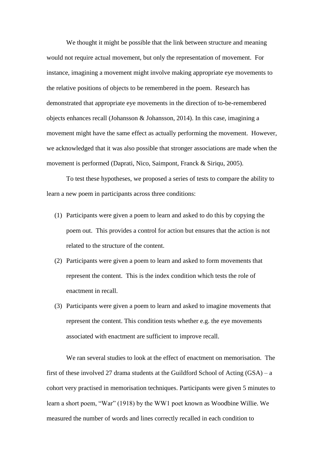We thought it might be possible that the link between structure and meaning would not require actual movement, but only the representation of movement. For instance, imagining a movement might involve making appropriate eye movements to the relative positions of objects to be remembered in the poem. Research has demonstrated that appropriate eye movements in the direction of to-be-remembered objects enhances recall (Johansson & Johansson, 2014). In this case, imagining a movement might have the same effect as actually performing the movement. However, we acknowledged that it was also possible that stronger associations are made when the movement is performed (Daprati, Nico, Saimpont, Franck & Siriqu, 2005).

To test these hypotheses, we proposed a series of tests to compare the ability to learn a new poem in participants across three conditions:

- (1) Participants were given a poem to learn and asked to do this by copying the poem out. This provides a control for action but ensures that the action is not related to the structure of the content.
- (2) Participants were given a poem to learn and asked to form movements that represent the content. This is the index condition which tests the role of enactment in recall.
- (3) Participants were given a poem to learn and asked to imagine movements that represent the content. This condition tests whether e.g. the eye movements associated with enactment are sufficient to improve recall.

We ran several studies to look at the effect of enactment on memorisation. The first of these involved 27 drama students at the Guildford School of Acting  $(GSA) - a$ cohort very practised in memorisation techniques. Participants were given 5 minutes to learn a short poem, "War" (1918) by the WW1 poet known as Woodbine Willie. We measured the number of words and lines correctly recalled in each condition to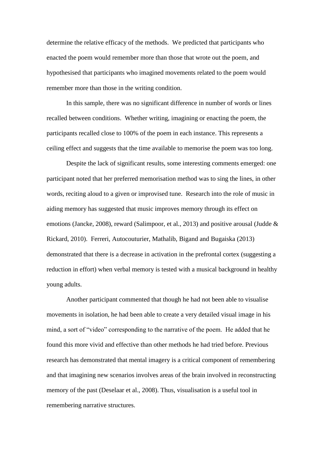determine the relative efficacy of the methods. We predicted that participants who enacted the poem would remember more than those that wrote out the poem, and hypothesised that participants who imagined movements related to the poem would remember more than those in the writing condition.

In this sample, there was no significant difference in number of words or lines recalled between conditions. Whether writing, imagining or enacting the poem, the participants recalled close to 100% of the poem in each instance. This represents a ceiling effect and suggests that the time available to memorise the poem was too long.

Despite the lack of significant results, some interesting comments emerged: one participant noted that her preferred memorisation method was to sing the lines, in other words, reciting aloud to a given or improvised tune. Research into the role of music in aiding memory has suggested that music improves memory through its effect on emotions (Jancke, 2008), reward (Salimpoor, et al., 2013) and positive arousal (Judde & Rickard, 2010). Ferreri, Autocouturier, Mathalib, Bigand and Bugaiska (2013) demonstrated that there is a decrease in activation in the prefrontal cortex (suggesting a reduction in effort) when verbal memory is tested with a musical background in healthy young adults.

Another participant commented that though he had not been able to visualise movements in isolation, he had been able to create a very detailed visual image in his mind, a sort of "video" corresponding to the narrative of the poem. He added that he found this more vivid and effective than other methods he had tried before. Previous research has demonstrated that mental imagery is a critical component of remembering and that imagining new scenarios involves areas of the brain involved in reconstructing memory of the past (Deselaar et al., 2008). Thus, visualisation is a useful tool in remembering narrative structures.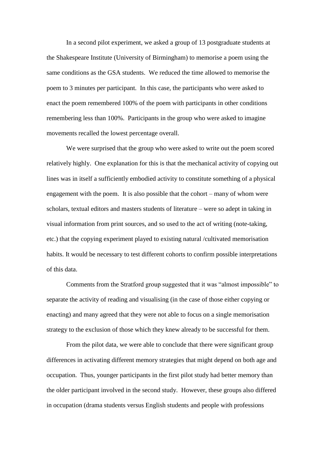In a second pilot experiment, we asked a group of 13 postgraduate students at the Shakespeare Institute (University of Birmingham) to memorise a poem using the same conditions as the GSA students. We reduced the time allowed to memorise the poem to 3 minutes per participant. In this case, the participants who were asked to enact the poem remembered 100% of the poem with participants in other conditions remembering less than 100%. Participants in the group who were asked to imagine movements recalled the lowest percentage overall.

We were surprised that the group who were asked to write out the poem scored relatively highly. One explanation for this is that the mechanical activity of copying out lines was in itself a sufficiently embodied activity to constitute something of a physical engagement with the poem. It is also possible that the cohort – many of whom were scholars, textual editors and masters students of literature – were so adept in taking in visual information from print sources, and so used to the act of writing (note-taking, etc.) that the copying experiment played to existing natural /cultivated memorisation habits. It would be necessary to test different cohorts to confirm possible interpretations of this data.

Comments from the Stratford group suggested that it was "almost impossible" to separate the activity of reading and visualising (in the case of those either copying or enacting) and many agreed that they were not able to focus on a single memorisation strategy to the exclusion of those which they knew already to be successful for them.

From the pilot data, we were able to conclude that there were significant group differences in activating different memory strategies that might depend on both age and occupation. Thus, younger participants in the first pilot study had better memory than the older participant involved in the second study. However, these groups also differed in occupation (drama students versus English students and people with professions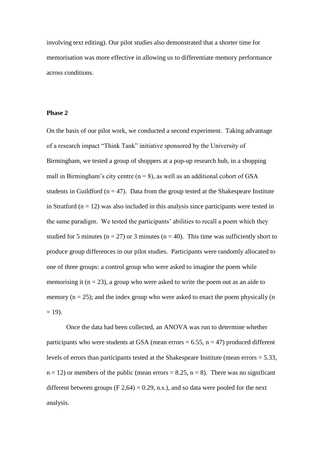involving text editing). Our pilot studies also demonstrated that a shorter time for memorisation was more effective in allowing us to differentiate memory performance across conditions.

#### **Phase 2**

On the basis of our pilot work, we conducted a second experiment. Taking advantage of a research impact "Think Tank" initiative sponsored by the University of Birmingham, we tested a group of shoppers at a pop-up research hub, in a shopping mall in Birmingham's city centre  $(n = 8)$ , as well as an additional cohort of GSA students in Guildford ( $n = 47$ ). Data from the group tested at the Shakespeare Institute in Stratford ( $n = 12$ ) was also included in this analysis since participants were tested in the same paradigm. We tested the participants' abilities to recall a poem which they studied for 5 minutes ( $n = 27$ ) or 3 minutes ( $n = 40$ ). This time was sufficiently short to produce group differences in our pilot studies. Participants were randomly allocated to one of three groups: a control group who were asked to imagine the poem while memorising it  $(n = 23)$ , a group who were asked to write the poem out as an aide to memory  $(n = 25)$ ; and the index group who were asked to enact the poem physically  $(n = 15)$ .  $= 19$ ).

Once the data had been collected, an ANOVA was run to determine whether participants who were students at GSA (mean errors  $= 6.55$ ,  $n = 47$ ) produced different levels of errors than participants tested at the Shakespeare Institute (mean errors = 5.33,  $n = 12$ ) or members of the public (mean errors = 8.25,  $n = 8$ ). There was no significant different between groups  $(F 2, 64) = 0.29$ , n.s.), and so data were pooled for the next analysis.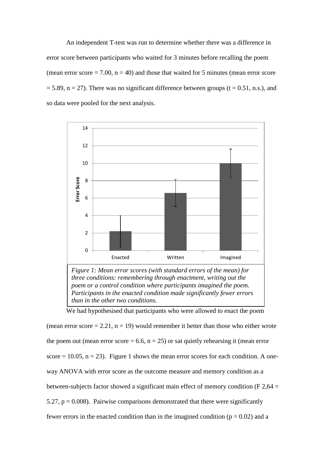An independent T-test was run to determine whether there was a difference in error score between participants who waited for 3 minutes before recalling the poem (mean error score  $= 7.00$ ,  $n = 40$ ) and those that waited for 5 minutes (mean error score  $= 5.89$ , n = 27). There was no significant difference between groups (t = 0.51, n.s.), and so data were pooled for the next analysis.



*than in the other two conditions.*

We had hypothesised that participants who were allowed to enact the poem

(mean error score  $= 2.21$ ,  $n = 19$ ) would remember it better than those who either wrote the poem out (mean error score = 6.6,  $n = 25$ ) or sat quietly rehearsing it (mean error score  $= 10.05$ ,  $n = 23$ ). Figure 1 shows the mean error scores for each condition. A oneway ANOVA with error score as the outcome measure and memory condition as a between-subjects factor showed a significant main effect of memory condition (F  $2,64 =$ 5.27,  $p = 0.008$ ). Pairwise comparisons demonstrated that there were significantly fewer errors in the enacted condition than in the imagined condition ( $p = 0.02$ ) and a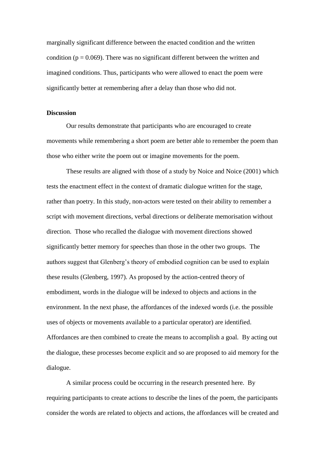marginally significant difference between the enacted condition and the written condition ( $p = 0.069$ ). There was no significant different between the written and imagined conditions. Thus, participants who were allowed to enact the poem were significantly better at remembering after a delay than those who did not.

#### **Discussion**

Our results demonstrate that participants who are encouraged to create movements while remembering a short poem are better able to remember the poem than those who either write the poem out or imagine movements for the poem.

These results are aligned with those of a study by Noice and Noice (2001) which tests the enactment effect in the context of dramatic dialogue written for the stage, rather than poetry. In this study, non-actors were tested on their ability to remember a script with movement directions, verbal directions or deliberate memorisation without direction. Those who recalled the dialogue with movement directions showed significantly better memory for speeches than those in the other two groups. The authors suggest that Glenberg's theory of embodied cognition can be used to explain these results (Glenberg, 1997). As proposed by the action-centred theory of embodiment, words in the dialogue will be indexed to objects and actions in the environment. In the next phase, the affordances of the indexed words (i.e. the possible uses of objects or movements available to a particular operator) are identified. Affordances are then combined to create the means to accomplish a goal. By acting out the dialogue, these processes become explicit and so are proposed to aid memory for the dialogue.

A similar process could be occurring in the research presented here. By requiring participants to create actions to describe the lines of the poem, the participants consider the words are related to objects and actions, the affordances will be created and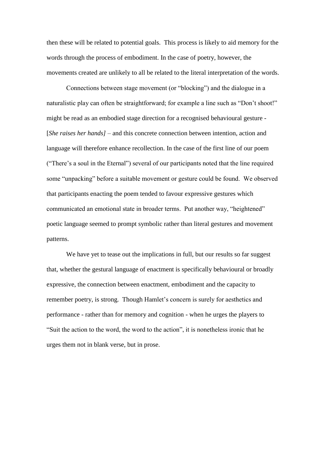then these will be related to potential goals. This process is likely to aid memory for the words through the process of embodiment. In the case of poetry, however, the movements created are unlikely to all be related to the literal interpretation of the words.

Connections between stage movement (or "blocking") and the dialogue in a naturalistic play can often be straightforward; for example a line such as "Don't shoot!" might be read as an embodied stage direction for a recognised behavioural gesture - [*She raises her hands]* – and this concrete connection between intention, action and language will therefore enhance recollection. In the case of the first line of our poem ("There's a soul in the Eternal") several of our participants noted that the line required some "unpacking" before a suitable movement or gesture could be found. We observed that participants enacting the poem tended to favour expressive gestures which communicated an emotional state in broader terms. Put another way, "heightened" poetic language seemed to prompt symbolic rather than literal gestures and movement patterns.

We have yet to tease out the implications in full, but our results so far suggest that, whether the gestural language of enactment is specifically behavioural or broadly expressive, the connection between enactment, embodiment and the capacity to remember poetry, is strong. Though Hamlet's concern is surely for aesthetics and performance - rather than for memory and cognition - when he urges the players to "Suit the action to the word, the word to the action", it is nonetheless ironic that he urges them not in blank verse, but in prose.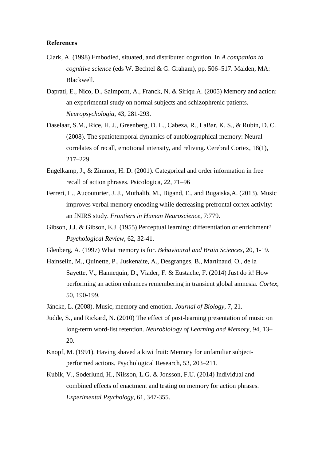#### **References**

- Clark, A. (1998) Embodied, situated, and distributed cognition. In *A companion to cognitive science* (eds W. Bechtel & G. Graham), pp. 506–517. Malden, MA: Blackwell.
- Daprati, E., Nico, D., Saimpont, A., Franck, N. & Siriqu A. (2005) Memory and action: an experimental study on normal subjects and schizophrenic patients. *Neuropsychologia*, 43, 281-293.
- Daselaar, S.M., Rice, H. J., Greenberg, D. L., Cabeza, R., LaBar, K. S., & Rubin, D. C. (2008). The spatiotemporal dynamics of autobiographical memory: Neural correlates of recall, emotional intensity, and reliving. Cerebral Cortex, 18(1), 217–229.
- Engelkamp, J., & Zimmer, H. D. (2001). Categorical and order information in free recall of action phrases. Psicologica, 22, 71–96
- Ferreri, L., Aucouturier, J. J., Muthalib, M., Bigand, E., and Bugaiska,A. (2013). Music improves verbal memory encoding while decreasing prefrontal cortex activity: an fNIRS study. *Frontiers in Human Neuroscience*, 7:779.
- Gibson, J.J. & Gibson, E.J. (1955) Perceptual learning: differentiation or enrichment? *Psychological Review*, 62, 32-41.
- Glenberg, A. (1997) What memory is for. *Behavioural and Brain Sciences,* 20, 1-19.
- Hainselin, M., Quinette, P., Juskenaite, A., Desgranges, B., Martinaud, O., de la Sayette, V., Hannequin, D., Viader, F. & Eustache, F. (2014) Just do it! How performing an action enhances remembering in transient global amnesia. *Cortex*, 50, 190-199.
- Jäncke, L. (2008). Music, memory and emotion. *Journal of Biology*, 7, 21.
- Judde, S., and Rickard, N. (2010) The effect of post-learning presentation of music on long-term word-list retention. *Neurobiology of Learning and Memory*, 94, 13– 20.
- Knopf, M. (1991). Having shaved a kiwi fruit: Memory for unfamiliar subjectperformed actions. Psychological Research, 53, 203–211.
- Kubik, V., Soderlund, H., Nilsson, L.G. & Jonsson, F.U. (2014) Individual and combined effects of enactment and testing on memory for action phrases. *Experimental Psychology,* 61, 347-355.